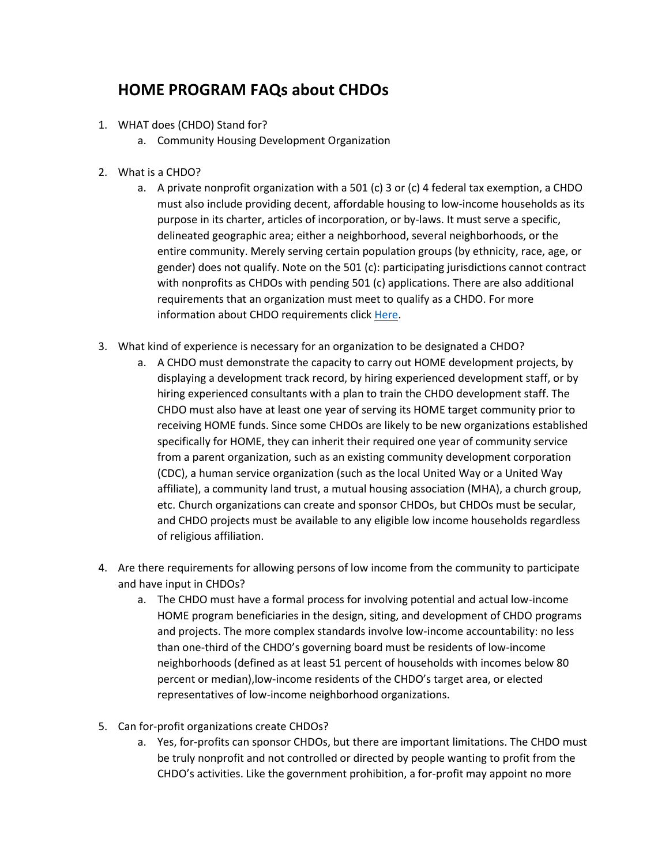## **HOME PROGRAM FAQs about CHDOs**

- 1. WHAT does (CHDO) Stand for?
	- a. Community Housing Development Organization
- 2. What is a CHDO?
	- a. A private nonprofit organization with a 501 (c) 3 or (c) 4 federal tax exemption, a CHDO must also include providing decent, affordable housing to low-income households as its purpose in its charter, articles of incorporation, or by-laws. It must serve a specific, delineated geographic area; either a neighborhood, several neighborhoods, or the entire community. Merely serving certain population groups (by ethnicity, race, age, or gender) does not qualify. Note on the 501 (c): participating jurisdictions cannot contract with nonprofits as CHDOs with pending 501 (c) applications. There are also additional requirements that an organization must meet to qualify as a CHDO. For more information about CHDO requirements clic[k Here.](https://thda.org/business-partners/home)
- 3. What kind of experience is necessary for an organization to be designated a CHDO?
	- a. A CHDO must demonstrate the capacity to carry out HOME development projects, by displaying a development track record, by hiring experienced development staff, or by hiring experienced consultants with a plan to train the CHDO development staff. The CHDO must also have at least one year of serving its HOME target community prior to receiving HOME funds. Since some CHDOs are likely to be new organizations established specifically for HOME, they can inherit their required one year of community service from a parent organization, such as an existing community development corporation (CDC), a human service organization (such as the local United Way or a United Way affiliate), a community land trust, a mutual housing association (MHA), a church group, etc. Church organizations can create and sponsor CHDOs, but CHDOs must be secular, and CHDO projects must be available to any eligible low income households regardless of religious affiliation.
- 4. Are there requirements for allowing persons of low income from the community to participate and have input in CHDOs?
	- a. The CHDO must have a formal process for involving potential and actual low-income HOME program beneficiaries in the design, siting, and development of CHDO programs and projects. The more complex standards involve low-income accountability: no less than one-third of the CHDO's governing board must be residents of low-income neighborhoods (defined as at least 51 percent of households with incomes below 80 percent or median),low-income residents of the CHDO's target area, or elected representatives of low-income neighborhood organizations.
- 5. Can for-profit organizations create CHDOs?
	- a. Yes, for-profits can sponsor CHDOs, but there are important limitations. The CHDO must be truly nonprofit and not controlled or directed by people wanting to profit from the CHDO's activities. Like the government prohibition, a for-profit may appoint no more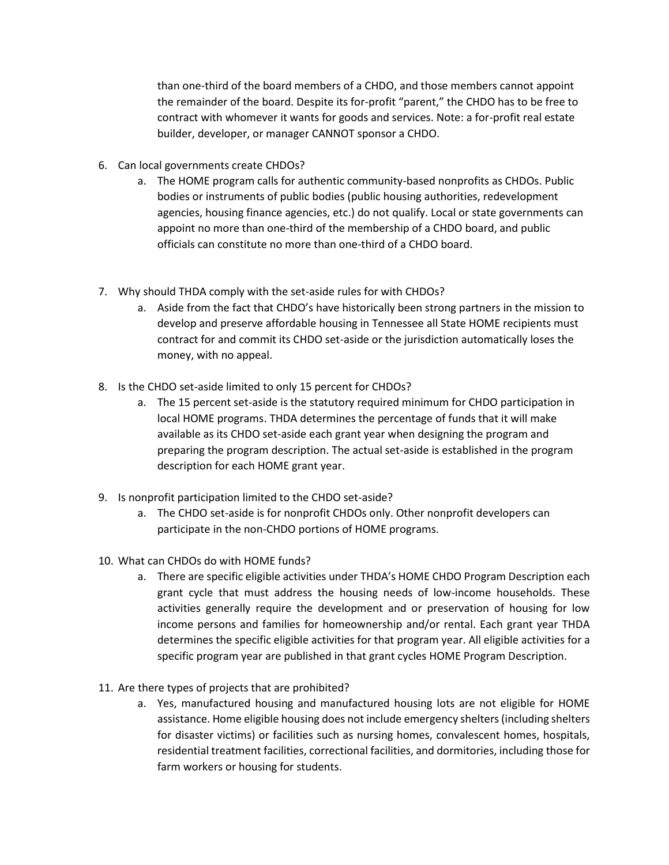than one-third of the board members of a CHDO, and those members cannot appoint the remainder of the board. Despite its for-profit "parent," the CHDO has to be free to contract with whomever it wants for goods and services. Note: a for-profit real estate builder, developer, or manager CANNOT sponsor a CHDO.

- 6. Can local governments create CHDOs?
	- a. The HOME program calls for authentic community-based nonprofits as CHDOs. Public bodies or instruments of public bodies (public housing authorities, redevelopment agencies, housing finance agencies, etc.) do not qualify. Local or state governments can appoint no more than one-third of the membership of a CHDO board, and public officials can constitute no more than one-third of a CHDO board.
- 7. Why should THDA comply with the set-aside rules for with CHDOs?
	- a. Aside from the fact that CHDO's have historically been strong partners in the mission to develop and preserve affordable housing in Tennessee all State HOME recipients must contract for and commit its CHDO set-aside or the jurisdiction automatically loses the money, with no appeal.
- 8. Is the CHDO set-aside limited to only 15 percent for CHDOs?
	- a. The 15 percent set-aside is the statutory required minimum for CHDO participation in local HOME programs. THDA determines the percentage of funds that it will make available as its CHDO set-aside each grant year when designing the program and preparing the program description. The actual set-aside is established in the program description for each HOME grant year.
- 9. Is nonprofit participation limited to the CHDO set-aside?
	- a. The CHDO set-aside is for nonprofit CHDOs only. Other nonprofit developers can participate in the non-CHDO portions of HOME programs.
- 10. What can CHDOs do with HOME funds?
	- a. There are specific eligible activities under THDA's HOME CHDO Program Description each grant cycle that must address the housing needs of low-income households. These activities generally require the development and or preservation of housing for low income persons and families for homeownership and/or rental. Each grant year THDA determines the specific eligible activities for that program year. All eligible activities for a specific program year are published in that grant cycles HOME Program Description.
- 11. Are there types of projects that are prohibited?
	- a. Yes, manufactured housing and manufactured housing lots are not eligible for HOME assistance. Home eligible housing does not include emergency shelters (including shelters for disaster victims) or facilities such as nursing homes, convalescent homes, hospitals, residential treatment facilities, correctional facilities, and dormitories, including those for farm workers or housing for students.